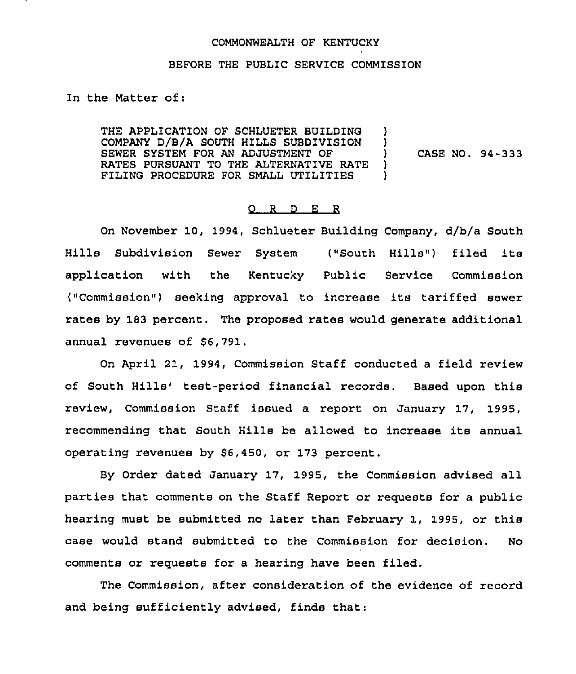## COMMONWEALTH OF KENTUCKY

## BEFORE THE PUBL1C SERVICE COMMISSION

In the Matter of:

THE APPLICATION OF SCHLUETER BUILDING )<br>COMPANY D/B/A SOUTH HILLS SUBDIVISION ) COMPANY D/B/A SOUTH HILLS SUBDIVISION ) SEWER SYSTEM FOR AN ADJUSTMENT OF  $\qquad$  )<br>RATES PURSUANT TO THE ALTERNATIVE RATE ) RATES PURSUANT TO THE ALTERNATIVE RATE )<br>FILING PROCEDURE FOR SMALL UTILITIES ) FILING PROCEDURE FOR SMALL UTILITIES ) CASE NO. 94-333

## 0 <sup>R</sup> <sup>D</sup> E <sup>R</sup>

On November 10, 1994, Schlueter Building Company, d/b/a South Hills Subdivision Sewer System ("South Hills") filed its application with the Kentucky Public Service Commission ("Commission" ) seeking approval to increase its tariffed sewer rates by 183 percent. The proposed rates would generate additional annual revenues of \$6,791.

On April 21, 1994, Commission Staff conducted a field review of South Hills'est-period financial records. Based upon this review, Commission Staff issued a report on January 17, 1995, recommending that South Hills be allowed to increase its annual operating revenues by 56,450, or 173 percent.

By Order dated January 17, 1995, the Commission advised all parties that comments on the Staff Report or requests for a public hearing must be submitted no later than February 1, 1995, or this case would stand submitted to the Commission for decision. No comments or requests for a hearing have been filed.

The Commission, after consideration of the evidence of record and being sufficiently advised, finds that: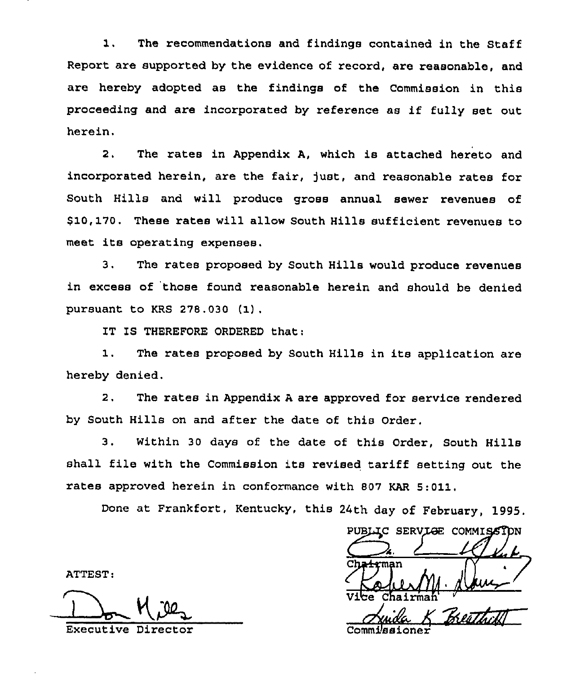1. The recommendations and findings contained in the Staff Report are supported by the evidence of record, are reasonable, and are hereby adopted as the findings of the Commission in this proceeding and are incorporated by reference as if fully set out herein.

2. The rates in Appendix A, which is attached hereto and incorporated herein, are the fair, just, and reasonable rates for South Hills and will produce gross annual sewer revenues of \$10,170, These rates will allow South Hills sufficient revenues to meet its operating expenses.

3. The rates proposed by South Hills would produce revenues in excess of those found reasonable herein and should be denied pursuant to KRS 278.030 (1).

IT IS THEREFORE ORDERED that:

1. The rates proposed by South Hills in its application are hereby denied.

2. The rates in Appendix <sup>A</sup> are approved for service rendered by South Hills on and after the date of this Order.

3, Within 30 days of the date of this Order, South Hills shall file with the Commission its revised tariff setting out the rates approved herein in conformance with 807 KAR 5:011,

Done at Frankfort, Kentucky, this 24th day of February, 1995

PUBLIC SERVIGE COMMISSION A. rtrman Vice Chairman

Chairmah'xecutive

ATTEST:

Executive Director The Commissioner